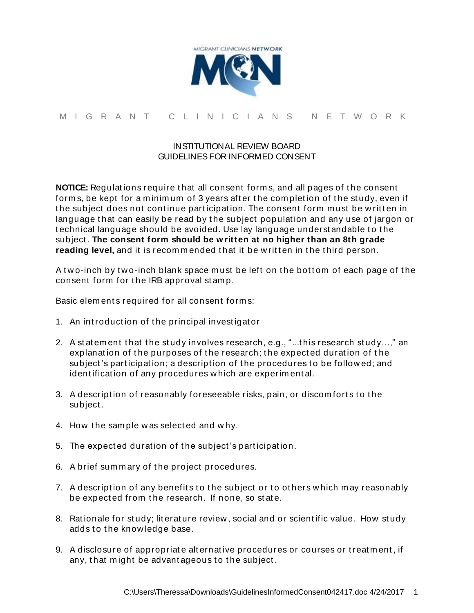

# M I G R A N T C L I N I C I A N S N E T W O R K

# INSTITUTIONAL REVIEW BOARD GUIDELINES FOR INFORMED CONSENT

**NOTICE:** Regulations require that all consent forms, and all pages of the consent forms, be kept for a minimum of 3 years after the completion of the study, even if the subject does not continue participation. The consent form must be written in language that can easily be read by the subject population and any use of jargon or technical language should be avoided. Use lay language understandable to the subject . **The consent form should be w ritten at no higher than an 8th grade**  reading level, and it is recommended that it be written in the third person.

A two-inch by two-inch blank space must be left on the bottom of each page of the consent form for the IRB approval stamp.

Basic elements required for all consent forms:

- 1. An introduction of the principal investigator
- 2. A statement that the study involves research, e.g., "...this research study...," an explanation of the purposes of the research; the expected duration of the subject's participation; a description of the procedures to be followed; and identification of any procedures which are experimental.
- 3. A description of reasonably foreseeable risks, pain, or discomforts to the subject .
- 4. How the sample was selected and why.
- 5. The expected duration of the subject's participation.
- 6. A brief summary of the project procedures.
- 7. A description of any benefits to the subject or to others which may reasonably be expected from the research. If none, so state.
- 8. Rationale for study; literature review, social and or scientific value. How study adds to the knowledge base.
- 9. A disclosure of appropriate alternative procedures or courses or treatment, if any, that might be advantageous to the subject.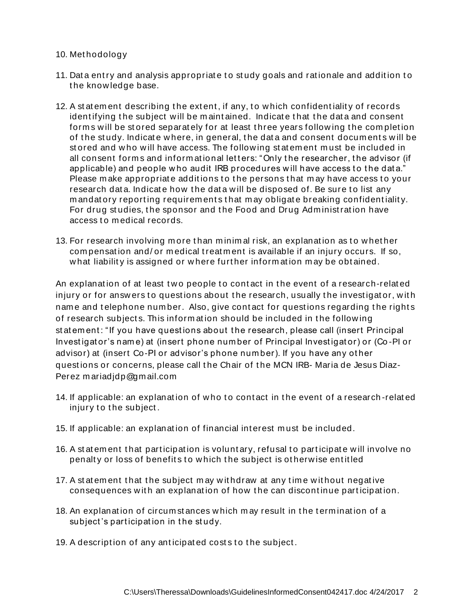## 10. Met hodology

- 11. Data entry and analysis appropriate to study goals and rationale and addition to t he know ledge base.
- 12. A statement describing the extent, if any, to which confidentiality of records identifying the subject will be maintained. Indicate that the data and consent forms will be stored separately for at least three years following the completion of the study. Indicate where, in general, the data and consent documents will be st ored and w ho w ill have access. The follow ing st at em ent m ust be included in all consent forms and informational letters: "Only the researcher, the advisor (if applicable) and people who audit IRB procedures will have access to the data." Please make appropriate additions to the persons that may have access to your research data. Indicate how the data will be disposed of. Be sure to list any m andatory reporting requirements that may obligate breaking confidentiality. For drug studies, the sponsor and the Food and Drug Administration have access to medical records.
- 13. For research involving more than minimal risk, an explanation as to whether com pensat ion and/ or m edical t reat m ent is available if an injury occurs. If so, what liability is assigned or where further information may be obtained.

An explanation of at least two people to contact in the event of a research-related injury or for answers to questions about the research, usually the investigator, with name and telephone number. Also, give contact for questions regarding the rights of research subject s. This inform at ion should be included in t he follow ing st at em ent : "If you have quest ions about t he research, please call (insert Principal Invest igat or's nam e) at (insert phone num ber of Principal Invest igat or) or (Co -PI or advisor) at (insert Co-PI or advisor's phone num ber). If you have any ot her quest ions or concerns, please call t he Chair of t he MCN IRB- Maria de Jesus Diaz-Perez m ariadjdp@gm ail.com

- 14. If applicable: an explanation of who to contact in the event of a research-related injury to the subject.
- 15. If applicable: an explanat ion of financial int erest m ust be included.
- 16. A statement that participation is voluntary, refusal to participate will involve no penalty or loss of benefits to which the subject is otherwise entitled
- 17. A statement that the subject may withdraw at any time without negative consequences with an explanation of how the can discontinue participation.
- 18. An explanation of circum stances which may result in the termination of a subject's participation in the study.
- 19. A description of any anticipated costs to the subject.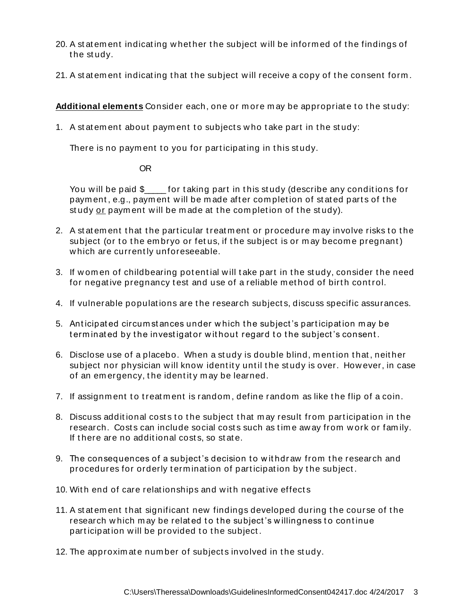- 20. A st at em ent indicat ing w het her t he subject w ill be inform ed of t he findings of the study.
- 21. A statement indicating that the subject will receive a copy of the consent form.

Additional elements Consider each, one or more may be appropriate to the study:

1. A statement about payment to subjects who take part in the study:

There is no payment to you for participating in this study.

OR

You will be paid  $\$\$ for taking part in this study (describe any conditions for paym ent , e.g., paym ent w ill be m ade aft er com plet ion of st at ed part s of t he study or payment will be made at the completion of the study).

- 2. A statement that the particular treatment or procedure may involve risks to the subject (or to the embryo or fetus, if the subject is or may become pregnant) which are currently unforeseeable.
- 3. If women of childbearing potential will take part in the study, consider the need for negative pregnancy test and use of a reliable method of birth control.
- 4. If vulnerable populations are the research subjects, discuss specific assurances.
- 5. Ant icipat ed circum st ances under w hich t he subject 's part icipat ion m ay be terminated by the investigator without regard to the subject's consent.
- 6. Disclose use of a placebo. When a st udy is double blind, m ent ion t hat , neit her subject nor physician will know identity until the study is over. However, in case of an emergency, the identity may be learned.
- 7. If assignment to treatment is random, define random as like the flip of a coin.
- 8. Discuss additional costs to the subject that may result from participation in the research. Costs can include social costs such as time away from work or family. If there are no additional costs, so state.
- 9. The consequences of a subject's decision to withdraw from the research and procedures for orderly termination of participation by the subject.
- 10. With end of care relationships and with negative effects
- 11. A statement that significant new findings developed during the course of the research w hich may be related to the subject's willingness to continue participation will be provided to the subject.
- 12. The approximate number of subjects involved in the study.